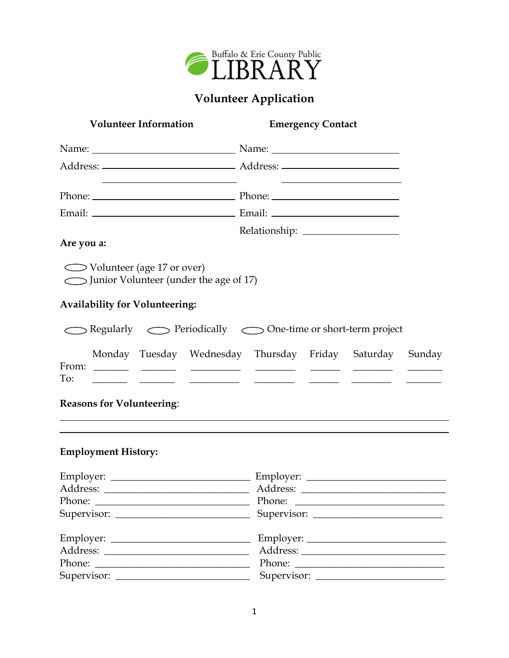

## **Volunteer Application**

| <b>Volunteer Information</b>                                              | <b>Emergency Contact</b>                                                                                                                                                                                                                                                       |  |
|---------------------------------------------------------------------------|--------------------------------------------------------------------------------------------------------------------------------------------------------------------------------------------------------------------------------------------------------------------------------|--|
|                                                                           |                                                                                                                                                                                                                                                                                |  |
|                                                                           |                                                                                                                                                                                                                                                                                |  |
|                                                                           | <u> 2000 - Andrea Andrew Maria (b. 1982)</u><br>Phone: Phone: Phone: Phone: Phone: Phone: Phone: Phone: Phone: Phone: Phone: Phone: Phone: Phone: Phone: Phone: Phone: Phone: Phone: Phone: Phone: Phone: Phone: Phone: Phone: Phone: Phone: Phone: Phone: Phone: Phone: Phone |  |
|                                                                           |                                                                                                                                                                                                                                                                                |  |
| Are you a:                                                                |                                                                                                                                                                                                                                                                                |  |
| ◯ Volunteer (age 17 or over)<br>Junior Volunteer (under the age of 17)    |                                                                                                                                                                                                                                                                                |  |
| <b>Availability for Volunteering:</b>                                     |                                                                                                                                                                                                                                                                                |  |
|                                                                           | Regularly  Seriodically  Sone-time or short-term project                                                                                                                                                                                                                       |  |
| To:                                                                       | Monday Tuesday Wednesday Thursday Friday Saturday Sunday<br><u>للمستعمل المستحقق المستحقق المستحقق المستحقق المستحقق المستحقق</u>                                                                                                                                              |  |
| <b>Reasons for Volunteering:</b>                                          | <u> 1989 - Johann Stoff, amerikansk politiker (d. 1989)</u>                                                                                                                                                                                                                    |  |
| <b>Employment History:</b>                                                |                                                                                                                                                                                                                                                                                |  |
|                                                                           |                                                                                                                                                                                                                                                                                |  |
| Address:                                                                  | Address:                                                                                                                                                                                                                                                                       |  |
|                                                                           |                                                                                                                                                                                                                                                                                |  |
|                                                                           |                                                                                                                                                                                                                                                                                |  |
|                                                                           |                                                                                                                                                                                                                                                                                |  |
|                                                                           |                                                                                                                                                                                                                                                                                |  |
| Phone:<br><u> 1989 - Johann Barn, fransk politik amerikansk politik (</u> |                                                                                                                                                                                                                                                                                |  |
|                                                                           |                                                                                                                                                                                                                                                                                |  |

 $\overline{\phantom{0}}$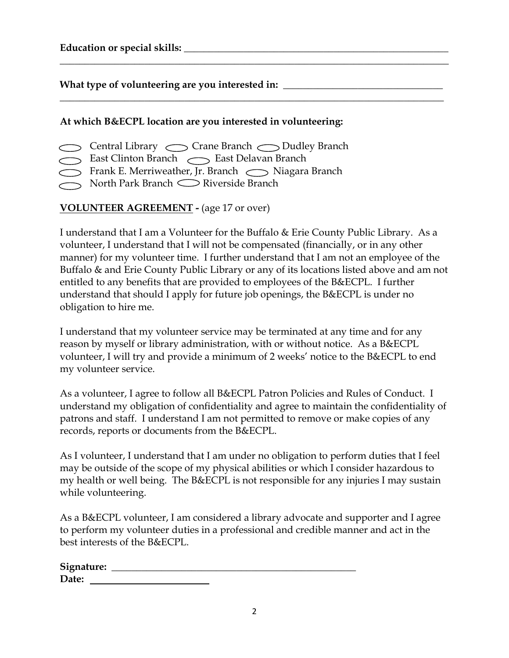| <b>Education or special skills:</b> |  |
|-------------------------------------|--|
|                                     |  |

What type of volunteering are you interested in: \_

## **At which B&ECPL location are you interested in volunteering:**

- Central Library Crane Branch 
Sudley Branch
- East Clinton Branch 
Stass Delavan Branch
- Frank E. Merriweather, Jr. Branch  $\bigcirc$  Niagara Branch
- $\supset$  North Park Branch  $\supset$  Riverside Branch

## **VOLUNTEER AGREEMENT -** (age 17 or over)

I understand that I am a Volunteer for the Buffalo & Erie County Public Library. As a volunteer, I understand that I will not be compensated (financially, or in any other manner) for my volunteer time. I further understand that I am not an employee of the Buffalo & and Erie County Public Library or any of its locations listed above and am not entitled to any benefits that are provided to employees of the B&ECPL. I further understand that should I apply for future job openings, the B&ECPL is under no obligation to hire me.

**\_\_\_\_\_\_\_\_\_\_\_\_\_\_\_\_\_\_\_\_\_\_\_\_\_\_\_\_\_\_\_\_\_\_\_\_\_\_\_\_\_\_\_\_\_\_\_\_\_\_\_\_\_\_\_\_\_\_\_\_\_\_\_\_\_\_\_\_\_\_\_\_\_\_\_\_\_\_**

\_\_\_\_\_\_\_\_\_\_\_\_\_\_\_\_\_\_\_\_\_\_\_\_\_\_\_\_\_\_\_\_\_\_\_\_\_\_\_\_\_\_\_\_\_\_\_\_\_\_\_\_\_\_\_\_\_\_\_\_\_\_\_\_\_\_\_\_\_\_\_\_\_\_\_\_\_

I understand that my volunteer service may be terminated at any time and for any reason by myself or library administration, with or without notice. As a B&ECPL volunteer, I will try and provide a minimum of 2 weeks' notice to the B&ECPL to end my volunteer service.

As a volunteer, I agree to follow all B&ECPL Patron Policies and Rules of Conduct. I understand my obligation of confidentiality and agree to maintain the confidentiality of patrons and staff. I understand I am not permitted to remove or make copies of any records, reports or documents from the B&ECPL.

As I volunteer, I understand that I am under no obligation to perform duties that I feel may be outside of the scope of my physical abilities or which I consider hazardous to my health or well being. The B&ECPL is not responsible for any injuries I may sustain while volunteering.

As a B&ECPL volunteer, I am considered a library advocate and supporter and I agree to perform my volunteer duties in a professional and credible manner and act in the best interests of the B&ECPL.

| Signature: |  |  |
|------------|--|--|
| Date:      |  |  |